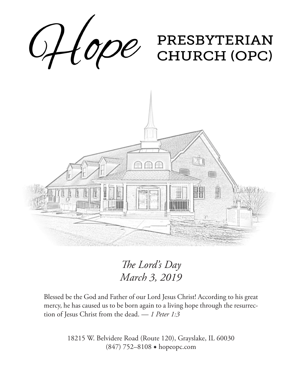

*The Lord's Day March 3, 2019*

Blessed be the God and Father of our Lord Jesus Christ! According to his great mercy, he has caused us to be born again to a living hope through the resurrection of Jesus Christ from the dead. — *1 Peter 1:3*

> 18215 W. Belvidere Road (Route 120), Grayslake, IL 60030 (847) 752–8108 ◆ hopeopc.com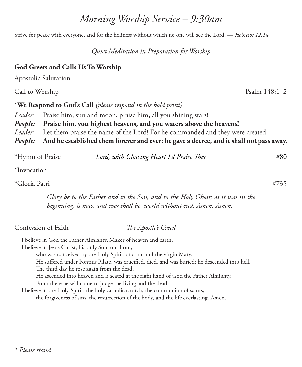# \*Gloria Patri #735

*Glory be to the Father and to the Son, and to the Holy Ghost; as it was in the beginning, is now, and ever shall be, world without end. Amen. Amen.*

Confession of Faith *The Apostle's Creed*

I believe in God the Father Almighty, Maker of heaven and earth.

I believe in Jesus Christ, his only Son, our Lord,

who was conceived by the Holy Spirit, and born of the virgin Mary.

He suffered under Pontius Pilate, was crucified, died, and was buried; he descended into hell.

The third day he rose again from the dead.

He ascended into heaven and is seated at the right hand of God the Father Almighty.

From there he will come to judge the living and the dead.

I believe in the Holy Spirit, the holy catholic church, the communion of saints,

the forgiveness of sins, the resurrection of the body, and the life everlasting. Amen.

## *\* Please stand*

*Morning Worship Service – 9:30am*

Strive for peace with everyone, and for the holiness without which no one will see the Lord. — *Hebrews 12:14*

*Quiet Meditation in Preparation for Worship*

## **God Greets and Calls Us To Worship**

Apostolic Salutation

Call to Worship Psalm 148:1–2

## **\*We Respond to God's Call** *(please respond in the bold print)*

Leader: Praise him, sun and moon, praise him, all you shining stars! *People:* **Praise him, you highest heavens, and you waters above the heavens!**  *Leader:* Let them praise the name of the Lord! For he commanded and they were created. *People:* **And he established them forever and ever; he gave a decree, and it shall not pass away.**

\*Hymn of Praise *Lord, with Glowing Heart I'd Praise Thee* #80

\*Invocation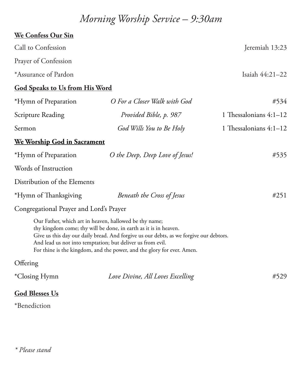# *Morning Worship Service – 9:30am*

| We Confess Our Sin                                                                                                   |                                                                                                                                                                                                                                      |                          |  |  |
|----------------------------------------------------------------------------------------------------------------------|--------------------------------------------------------------------------------------------------------------------------------------------------------------------------------------------------------------------------------------|--------------------------|--|--|
| Call to Confession                                                                                                   |                                                                                                                                                                                                                                      | Jeremiah 13:23           |  |  |
| Prayer of Confession                                                                                                 |                                                                                                                                                                                                                                      |                          |  |  |
| *Assurance of Pardon                                                                                                 |                                                                                                                                                                                                                                      | Isaiah 44:21-22          |  |  |
| <b>God Speaks to Us from His Word</b>                                                                                |                                                                                                                                                                                                                                      |                          |  |  |
| *Hymn of Preparation                                                                                                 | O For a Closer Walk with God                                                                                                                                                                                                         | #534                     |  |  |
| <b>Scripture Reading</b>                                                                                             | Provided Bible, p. 987                                                                                                                                                                                                               | 1 Thessalonians 4:1-12   |  |  |
| Sermon                                                                                                               | God Wills You to Be Holy                                                                                                                                                                                                             | 1 Thessalonians $4:1-12$ |  |  |
| <u>We Worship God in Sacrament</u>                                                                                   |                                                                                                                                                                                                                                      |                          |  |  |
| *Hymn of Preparation                                                                                                 | O the Deep, Deep Love of Jesus!                                                                                                                                                                                                      | #535                     |  |  |
| Words of Instruction                                                                                                 |                                                                                                                                                                                                                                      |                          |  |  |
| Distribution of the Elements                                                                                         |                                                                                                                                                                                                                                      |                          |  |  |
| *Hymn of Thanksgiving                                                                                                | Beneath the Cross of Jesus                                                                                                                                                                                                           | #251                     |  |  |
| Congregational Prayer and Lord's Prayer                                                                              |                                                                                                                                                                                                                                      |                          |  |  |
| Our Father, which art in heaven, hallowed be thy name;<br>And lead us not into temptation; but deliver us from evil. | thy kingdom come; thy will be done, in earth as it is in heaven.<br>Give us this day our daily bread. And forgive us our debts, as we forgive our debtors.<br>For thine is the kingdom, and the power, and the glory for ever. Amen. |                          |  |  |
| Offering                                                                                                             |                                                                                                                                                                                                                                      |                          |  |  |
| *Closing Hymn                                                                                                        | Love Divine, All Loves Excelling                                                                                                                                                                                                     | #529                     |  |  |
| <b>God Blesses Us</b><br>*Benediction                                                                                |                                                                                                                                                                                                                                      |                          |  |  |